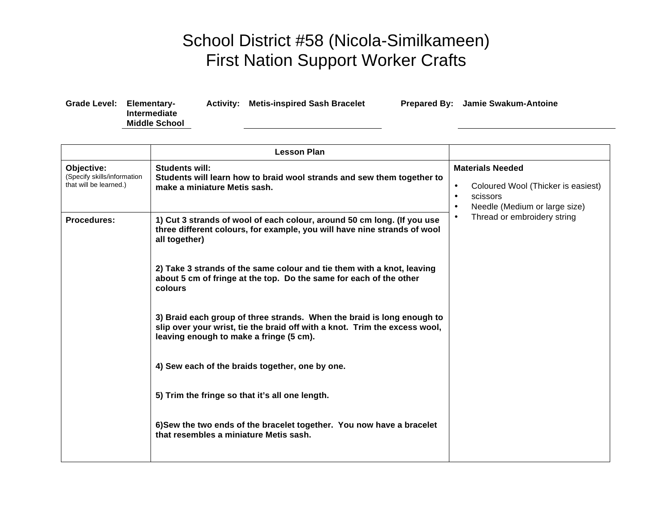## School District #58 (Nicola-Similkameen) First Nation Support Worker Crafts

| Grade Level: | Elementary-          |  |
|--------------|----------------------|--|
|              | <b>Intermediate</b>  |  |
|              | <b>Middle School</b> |  |

**Activity: Metis-inspired Sash Bracelet Prepared By: Jamie Swakum-Antoine**

| <b>Lesson Plan</b>                                                  |                                                                                                                                                                                                 |                                                                                                                                                                                  |
|---------------------------------------------------------------------|-------------------------------------------------------------------------------------------------------------------------------------------------------------------------------------------------|----------------------------------------------------------------------------------------------------------------------------------------------------------------------------------|
| Objective:<br>(Specify skills/information<br>that will be learned.) | <b>Students will:</b><br>Students will learn how to braid wool strands and sew them together to<br>make a miniature Metis sash.                                                                 | <b>Materials Needed</b><br>Coloured Wool (Thicker is easiest)<br>$\bullet$<br>scissors<br>$\bullet$<br>Needle (Medium or large size)<br>Thread or embroidery string<br>$\bullet$ |
| <b>Procedures:</b>                                                  | 1) Cut 3 strands of wool of each colour, around 50 cm long. (If you use<br>three different colours, for example, you will have nine strands of wool<br>all together)                            |                                                                                                                                                                                  |
|                                                                     | 2) Take 3 strands of the same colour and tie them with a knot, leaving<br>about 5 cm of fringe at the top. Do the same for each of the other<br>colours                                         |                                                                                                                                                                                  |
|                                                                     | 3) Braid each group of three strands. When the braid is long enough to<br>slip over your wrist, tie the braid off with a knot. Trim the excess wool,<br>leaving enough to make a fringe (5 cm). |                                                                                                                                                                                  |
|                                                                     | 4) Sew each of the braids together, one by one.                                                                                                                                                 |                                                                                                                                                                                  |
|                                                                     | 5) Trim the fringe so that it's all one length.                                                                                                                                                 |                                                                                                                                                                                  |
|                                                                     | 6)Sew the two ends of the bracelet together. You now have a bracelet<br>that resembles a miniature Metis sash.                                                                                  |                                                                                                                                                                                  |